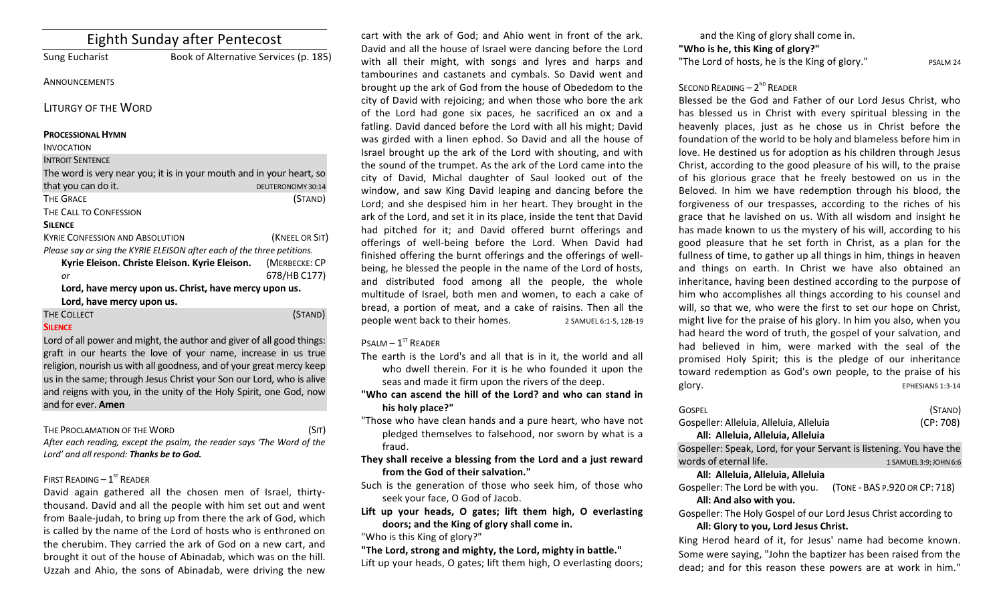| <b>Eighth Sunday after Pentecost</b>                                    |                                       |                   |
|-------------------------------------------------------------------------|---------------------------------------|-------------------|
| Sung Eucharist                                                          | Book of Alternative Services (p. 185) |                   |
| <b>ANNOUNCEMENTS</b>                                                    |                                       |                   |
| <b>LITURGY OF THE WORD</b>                                              |                                       |                   |
| <b>PROCESSIONAL HYMN</b>                                                |                                       |                   |
| <b>INVOCATION</b>                                                       |                                       |                   |
| <b>INTROIT SENTENCE</b>                                                 |                                       |                   |
| The word is very near you; it is in your mouth and in your heart, so    |                                       |                   |
| that you can do it.                                                     |                                       | DEUTERONOMY 30:14 |
| <b>THE GRACE</b>                                                        |                                       | (STAND)           |
| THE CALL TO CONFESSION                                                  |                                       |                   |
| <b>SILENCE</b>                                                          |                                       |                   |
| <b>KYRIE CONFESSION AND ABSOLUTION</b>                                  |                                       | (KNEEL OR SIT)    |
| Please say or sing the KYRIE ELEISON after each of the three petitions. |                                       |                   |
| Kyrie Eleison. Christe Eleison. Kyrie Eleison.                          |                                       | (MERBECKE: CP     |
| or                                                                      |                                       | 678/HB C177)      |
| Lord, have mercy upon us. Christ, have mercy upon us.                   |                                       |                   |
| Lord, have mercy upon us.                                               |                                       |                   |
| THE COLLECT                                                             |                                       | (STAND)           |
| <b>SILENCE</b>                                                          |                                       |                   |
|                                                                         |                                       |                   |

Lord of all power and might, the author and giver of all good things: graft in our hearts the love of your name, increase in us true religion, nourish us with all goodness, and of your great mercy keep us in the same; through Jesus Christ your Son our Lord, who is alive and reigns with you, in the unity of the Holy Spirit, one God, now and for ever. **Amen**

### THE PROCLAMATION OF THE WORD (SIT)

After each reading, except the psalm, the reader says 'The Word of the Lord' and all respond: Thanks be to God.

# FIRST READING  $- 1<sup>ST</sup>$  READER

David again gathered all the chosen men of Israel, thirtythousand. David and all the people with him set out and went from Baale-judah, to bring up from there the ark of God, which is called by the name of the Lord of hosts who is enthroned on the cherubim. They carried the ark of God on a new cart, and brought it out of the house of Abinadab, which was on the hill. Uzzah and Ahio, the sons of Abinadab, were driving the new

cart with the ark of God; and Ahio went in front of the ark. David and all the house of Israel were dancing before the Lord with all their might, with songs and lyres and harps and tambourines and castanets and cymbals. So David went and brought up the ark of God from the house of Obededom to the city of David with rejoicing; and when those who bore the ark of the Lord had gone six paces, he sacrificed an ox and a fatling. David danced before the Lord with all his might; David was girded with a linen ephod. So David and all the house of Israel brought up the ark of the Lord with shouting, and with the sound of the trumpet. As the ark of the Lord came into the city of David, Michal daughter of Saul looked out of the window, and saw King David leaping and dancing before the Lord; and she despised him in her heart. They brought in the ark of the Lord, and set it in its place, inside the tent that David had pitched for it; and David offered burnt offerings and offerings of well-being before the Lord. When David had finished offering the burnt offerings and the offerings of wellbeing, he blessed the people in the name of the Lord of hosts, and distributed food among all the people, the whole multitude of Israel, both men and women, to each a cake of bread, a portion of meat, and a cake of raisins. Then all the people went back to their homes. 2 SAMUEL 6:1-5, 12B-19

## $P$ SALM –  $1<sup>ST</sup>$  READER

- The earth is the Lord's and all that is in it, the world and all who dwell therein. For it is he who founded it upon the seas and made it firm upon the rivers of the deep.
- "Who can ascend the hill of the Lord? and who can stand in his holy place?"
- "Those who have clean hands and a pure heart, who have not pledged themselves to falsehood, nor sworn by what is a fraud.
- They shall receive a blessing from the Lord and a just reward from the God of their salvation."
- Such is the generation of those who seek him, of those who seek vour face. O God of Jacob.
- Lift up your heads, O gates; lift them high, O everlasting doors; and the King of glory shall come in.
- "Who is this King of glory?"
- "The Lord, strong and mighty, the Lord, mighty in battle." Lift up your heads, O gates; lift them high, O everlasting doors;

and the King of glory shall come in. "Who is he, this King of glory?" "The Lord of hosts, he is the King of glory." PSALM 24

# SECOND READING  $- 2<sup>ND</sup>$  READER

Blessed be the God and Father of our Lord Jesus Christ, who has blessed us in Christ with every spiritual blessing in the heavenly places, just as he chose us in Christ before the foundation of the world to be holy and blameless before him in love. He destined us for adoption as his children through Jesus Christ, according to the good pleasure of his will, to the praise of his glorious grace that he freely bestowed on us in the Beloved. In him we have redemption through his blood, the forgiveness of our trespasses, according to the riches of his grace that he lavished on us. With all wisdom and insight he has made known to us the mystery of his will, according to his good pleasure that he set forth in Christ, as a plan for the fullness of time, to gather up all things in him, things in heaven and things on earth. In Christ we have also obtained an inheritance, having been destined according to the purpose of him who accomplishes all things according to his counsel and will, so that we, who were the first to set our hope on Christ, might live for the praise of his glory. In him you also, when you had heard the word of truth, the gospel of your salvation, and had believed in him, were marked with the seal of the promised Holy Spirit; this is the pledge of our inheritance toward redemption as God's own people, to the praise of his glory. EPHESIANS 1:3-14

| <b>GOSPEL</b>                                                       | (STAND)                |  |
|---------------------------------------------------------------------|------------------------|--|
| Gospeller: Alleluia, Alleluia, Alleluia                             | (CP: 708)              |  |
| All: Alleluia, Alleluia, Alleluia                                   |                        |  |
| Gospeller: Speak, Lord, for your Servant is listening. You have the |                        |  |
| words of eternal life.                                              | 1 SAMUEL 3:9; JOHN 6:6 |  |

**All: Alleluia, Alleluia, Alleluia**

Gospeller: The Lord be with you. (TONE - BAS P.920 OR CP: 718) All: And also with you.

Gospeller: The Holy Gospel of our Lord Jesus Christ according to All: Glory to you, Lord Jesus Christ.

King Herod heard of it, for Jesus' name had become known. Some were saying, "John the baptizer has been raised from the dead; and for this reason these powers are at work in him."